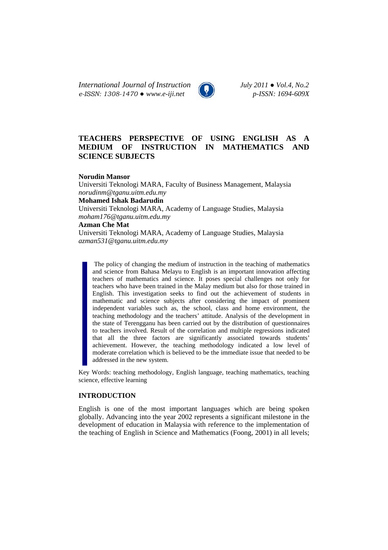*International Journal of Instruction July 2011 ● Vol.4, No.2 e-ISSN: 1308-1470 ● www.e-iji.net p-ISSN: 1694-609X*

# **TEACHERS PERSPECTIVE OF USING ENGLISH AS A MEDIUM OF INSTRUCTION IN MATHEMATICS AND SCIENCE SUBJECTS**

**Norudin Mansor** 

Universiti Teknologi MARA, Faculty of Business Management, Malaysia *norudinm@tganu.uitm.edu.my*  **Mohamed Ishak Badarudin**  Universiti Teknologi MARA, Academy of Language Studies, Malaysia *moham176@tganu.uitm.edu.my*  **Azman Che Mat**  Universiti Teknologi MARA, Academy of Language Studies, Malaysia *azman531@tganu.uitm.edu.my* 

The policy of changing the medium of instruction in the teaching of mathematics and science from Bahasa Melayu to English is an important innovation affecting teachers of mathematics and science. It poses special challenges not only for teachers who have been trained in the Malay medium but also for those trained in English. This investigation seeks to find out the achievement of students in mathematic and science subjects after considering the impact of prominent independent variables such as, the school, class and home environment, the teaching methodology and the teachers' attitude. Analysis of the development in the state of Terengganu has been carried out by the distribution of questionnaires to teachers involved. Result of the correlation and multiple regressions indicated

that all the three factors are significantly associated towards students' achievement. However, the teaching methodology indicated a low level of moderate correlation which is believed to be the immediate issue that needed to be addressed in the new system.

Key Words: teaching methodology, English language, teaching mathematics, teaching science, effective learning

### **INTRODUCTION**

English is one of the most important languages which are being spoken globally. Advancing into the year 2002 represents a significant milestone in the development of education in Malaysia with reference to the implementation of the teaching of English in Science and Mathematics (Foong, 2001) in all levels;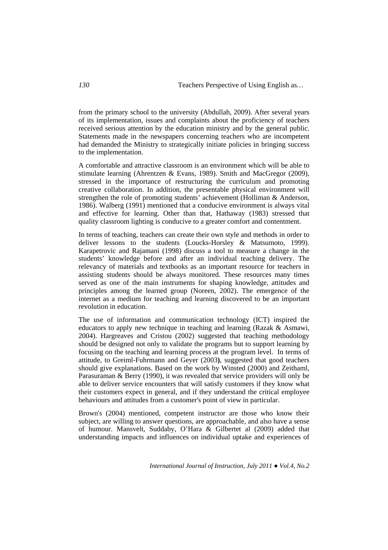from the primary school to the university (Abdullah, 2009). After several years of its implementation, issues and complaints about the proficiency of teachers received serious attention by the education ministry and by the general public. Statements made in the newspapers concerning teachers who are incompetent had demanded the Ministry to strategically initiate policies in bringing success to the implementation.

A comfortable and attractive classroom is an environment which will be able to stimulate learning (Ahrentzen & Evans, 1989). Smith and MacGregor (2009), stressed in the importance of restructuring the curriculum and promoting creative collaboration. In addition, the presentable physical environment will strengthen the role of promoting students' achievement (Holliman & Anderson, 1986). Walberg (1991) mentioned that a conducive environment is always vital and effective for learning. Other than that, Hathaway (1983) stressed that quality classroom lighting is conducive to a greater comfort and contentment.

In terms of teaching, teachers can create their own style and methods in order to deliver lessons to the students (Loucks-Horsley & Matsumoto, 1999). Karapetrovic and Rajamani (1998) discuss a tool to measure a change in the students' knowledge before and after an individual teaching delivery. The relevancy of materials and textbooks as an important resource for teachers in assisting students should be always monitored. These resources many times served as one of the main instruments for shaping knowledge, attitudes and principles among the learned group (Noreen, 2002). The emergence of the internet as a medium for teaching and learning discovered to be an important revolution in education.

The use of information and communication technology (ICT) inspired the educators to apply new technique in teaching and learning (Razak & Asmawi, 2004). Hargreaves and Cristou (2002) suggested that teaching methodology should be designed not only to validate the programs but to support learning by focusing on the teaching and learning process at the program level. In terms of attitude, to Greiml-Fuhrmann and Geyer (2003**)**, suggested that good teachers should give explanations. Based on the work by Winsted (2000) and Zeithaml, Parasuraman & Berry (1990), it was revealed that service providers will only be able to deliver service encounters that will satisfy customers if they know what their customers expect in general, and if they understand the critical employee behaviours and attitudes from a customer's point of view in particular.

Brown's (2004) mentioned, competent instructor are those who know their subject, are willing to answer questions, are approachable, and also have a sense of humour. Mansvelt, Suddaby, O'Hara & Gilbertet al (2009) added that understanding impacts and influences on individual uptake and experiences of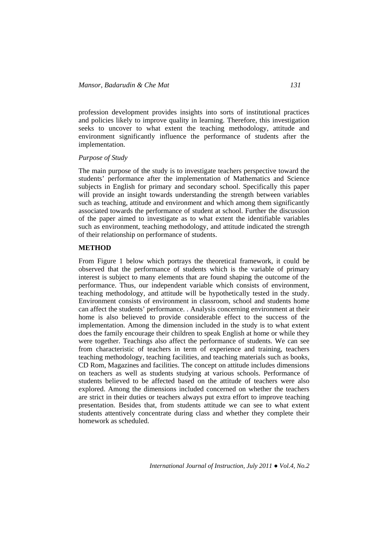profession development provides insights into sorts of institutional practices and policies likely to improve quality in learning. Therefore, this investigation seeks to uncover to what extent the teaching methodology, attitude and environment significantly influence the performance of students after the implementation.

### *Purpose of Study*

The main purpose of the study is to investigate teachers perspective toward the students' performance after the implementation of Mathematics and Science subjects in English for primary and secondary school. Specifically this paper will provide an insight towards understanding the strength between variables such as teaching, attitude and environment and which among them significantly associated towards the performance of student at school. Further the discussion of the paper aimed to investigate as to what extent the identifiable variables such as environment, teaching methodology, and attitude indicated the strength of their relationship on performance of students.

## **METHOD**

From Figure 1 below which portrays the theoretical framework, it could be observed that the performance of students which is the variable of primary interest is subject to many elements that are found shaping the outcome of the performance. Thus, our independent variable which consists of environment, teaching methodology, and attitude will be hypothetically tested in the study. Environment consists of environment in classroom, school and students home can affect the students' performance. . Analysis concerning environment at their home is also believed to provide considerable effect to the success of the implementation. Among the dimension included in the study is to what extent does the family encourage their children to speak English at home or while they were together. Teachings also affect the performance of students. We can see from characteristic of teachers in term of experience and training, teachers teaching methodology, teaching facilities, and teaching materials such as books, CD Rom, Magazines and facilities. The concept on attitude includes dimensions on teachers as well as students studying at various schools. Performance of students believed to be affected based on the attitude of teachers were also explored. Among the dimensions included concerned on whether the teachers are strict in their duties or teachers always put extra effort to improve teaching presentation. Besides that, from students attitude we can see to what extent students attentively concentrate during class and whether they complete their homework as scheduled.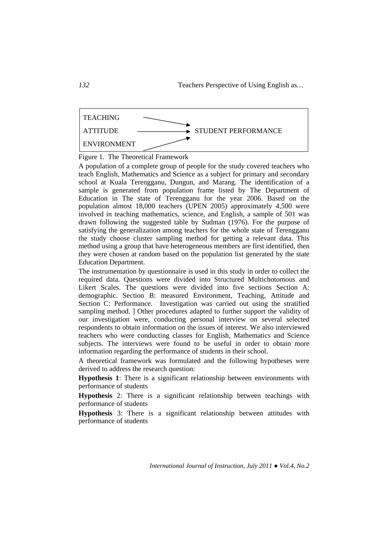

Figure 1. The Theoretical Framework

A population of a complete group of people for the study covered teachers who teach English, Mathematics and Science as a subject for primary and secondary school at Kuala Terengganu, Dungun, and Marang. The identification of a sample is generated from population frame listed by The Department of Education in The state of Terengganu for the year 2006. Based on the population almost 18,000 teachers (UPEN 2005) approximately 4,500 were involved in teaching mathematics, science, and English, a sample of 501 was drawn following the suggested table by Sudman (1976). For the purpose of satisfying the generalization among teachers for the whole state of Terengganu the study choose cluster sampling method for getting a relevant data. This method using a group that have heterogeneous members are first identified, then they were chosen at random based on the population list generated by the state Education Department.

The instrumentation by questionnaire is used in this study in order to collect the required data. Questions were divided into Structured Multichotomous and Likert Scales. The questions were divided into five sections Section A: demographic. Section B: measured Environment, Teaching, Attitude and Section C: Performance. Investigation was carried out using the stratified sampling method. ] Other procedures adapted to further support the validity of our investigation were, conducting personal interview on several selected respondents to obtain information on the issues of interest. We also interviewed teachers who were conducting classes for English, Mathematics and Science subjects. The interviews were found to be useful in order to obtain more information regarding the performance of students in their school.

A theoretical framework was formulated and the following hypotheses were derived to address the research question:

**Hypothesis 1**: There is a significant relationship between environments with performance of students

**Hypothesis** 2: There is a significant relationship between teachings with performance of students

**Hypothesis** 3: There is a significant relationship between attitudes with performance of students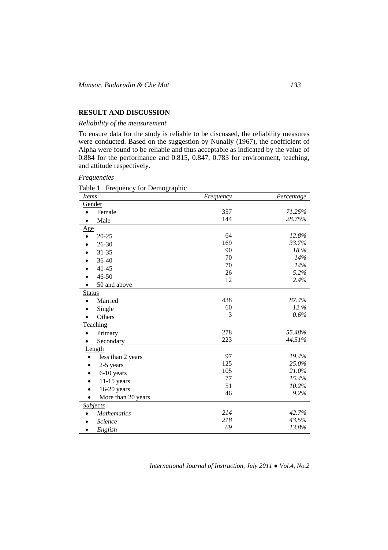## **RESULT AND DISCUSSION**

## *Reliability of the measurement*

To ensure data for the study is reliable to be discussed, the reliability measures were conducted. Based on the suggestion by Nunally (1967), the coefficient of Alpha were found to be reliable and thus acceptable as indicated by the value of 0.884 for the performance and 0.815, 0.847, 0.783 for environment, teaching, and attitude respectively.

*Frequencies* 

Table 1. Frequency for Demographic

| <i>Items</i>                   | Frequency | Percentage |  |
|--------------------------------|-----------|------------|--|
| Gender                         |           |            |  |
| Female<br>$\bullet$            | 357       | 71.25%     |  |
| Male                           | 144       | 28.75%     |  |
| <u>Age</u>                     |           |            |  |
| $20 - 25$                      | 64        | 12.8%      |  |
| $26 - 30$                      | 169       | 33.7%      |  |
| $31 - 35$                      | 90        | 18%        |  |
| 36-40                          | 70        | 14%        |  |
| $41 - 45$                      | 70        | 14%        |  |
| $46 - 50$                      | 26        | 5.2%       |  |
| 50 and above                   | 12        | 2.4%       |  |
| <b>Status</b>                  |           |            |  |
| Married                        | 438       | 87.4%      |  |
| Single                         | 60        | 12 %       |  |
| Others                         | 3         | 0.6%       |  |
| Teaching                       |           |            |  |
| Primary                        | 278       | 55.48%     |  |
| Secondary                      | 223       | 44.51%     |  |
| Length                         |           |            |  |
| less than 2 years<br>$\bullet$ | 97        | 19.4%      |  |
| 2-5 years<br>$\bullet$         | 125       | 25.0%      |  |
| 6-10 years<br>$\bullet$        | 105       | 21.0%      |  |
| $11-15$ years<br>$\bullet$     | 77        | 15.4%      |  |
| $16-20$ years<br>$\bullet$     | 51        | 10.2%      |  |
| More than 20 years             | 46        | 9.2%       |  |
| <b>Subjects</b>                |           |            |  |
| <b>Mathematics</b>             | 214       | 42.7%      |  |
| Science                        | 218       | 43.5%      |  |
| English                        | 69        | 13.8%      |  |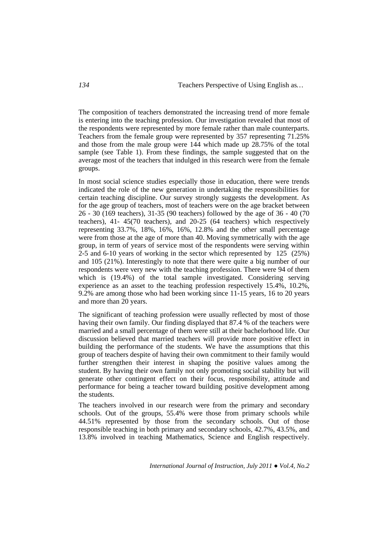The composition of teachers demonstrated the increasing trend of more female is entering into the teaching profession. Our investigation revealed that most of the respondents were represented by more female rather than male counterparts. Teachers from the female group were represented by 357 representing 71.25% and those from the male group were 144 which made up 28.75% of the total sample (see Table 1). From these findings, the sample suggested that on the average most of the teachers that indulged in this research were from the female groups.

In most social science studies especially those in education, there were trends indicated the role of the new generation in undertaking the responsibilities for certain teaching discipline. Our survey strongly suggests the development. As for the age group of teachers, most of teachers were on the age bracket between 26 - 30 (169 teachers), 31-35 (90 teachers) followed by the age of 36 - 40 (70 teachers), 41- 45(70 teachers), and 20-25 (64 teachers) which respectively representing 33.7%, 18%, 16%, 16%, 12.8% and the other small percentage were from those at the age of more than 40. Moving symmetrically with the age group, in term of years of service most of the respondents were serving within 2-5 and 6-10 years of working in the sector which represented by 125 (25%) and 105 (21%). Interestingly to note that there were quite a big number of our respondents were very new with the teaching profession. There were 94 of them which is (19.4%) of the total sample investigated. Considering serving experience as an asset to the teaching profession respectively 15.4%, 10.2%, 9.2% are among those who had been working since 11-15 years, 16 to 20 years and more than 20 years.

The significant of teaching profession were usually reflected by most of those having their own family. Our finding displayed that 87.4 % of the teachers were married and a small percentage of them were still at their bachelorhood life. Our discussion believed that married teachers will provide more positive effect in building the performance of the students. We have the assumptions that this group of teachers despite of having their own commitment to their family would further strengthen their interest in shaping the positive values among the student. By having their own family not only promoting social stability but will generate other contingent effect on their focus, responsibility, attitude and performance for being a teacher toward building positive development among the students.

The teachers involved in our research were from the primary and secondary schools. Out of the groups, 55.4% were those from primary schools while 44.51% represented by those from the secondary schools. Out of those responsible teaching in both primary and secondary schools, 42.7%, 43.5%, and 13.8% involved in teaching Mathematics, Science and English respectively.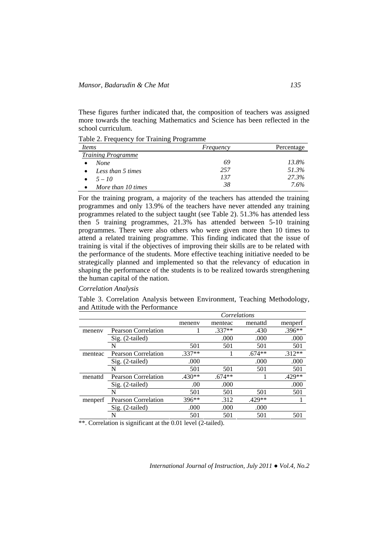These figures further indicated that, the composition of teachers was assigned more towards the teaching Mathematics and Science has been reflected in the school curriculum.

Table 2. Frequency for Training Programme

| <i>Items</i>                   | Frequency | Percentage |
|--------------------------------|-----------|------------|
| <b>Training Programme</b>      |           |            |
| <b>None</b>                    | 69        | 13.8%      |
| Less than 5 times<br>$\bullet$ | 257       | 51.3%      |
| $5 - 10$<br>$\bullet$          | 137       | 27.3%      |
| More than 10 times             | 38        | 7.6%       |

For the training program, a majority of the teachers has attended the training programmes and only 13.9% of the teachers have never attended any training programmes related to the subject taught (see Table 2). 51.3% has attended less then 5 training programmes, 21.3% has attended between 5-10 training programmes. There were also others who were given more then 10 times to attend a related training programme. This finding indicated that the issue of training is vital if the objectives of improving their skills are to be related with the performance of the students. More effective teaching initiative needed to be strategically planned and implemented so that the relevancy of education in shaping the performance of the students is to be realized towards strengthening the human capital of the nation.

### *Correlation Analysis*

Table 3. Correlation Analysis between Environment, Teaching Methodology, and Attitude with the Performance

|         |                            | Correlations |          |          |          |
|---------|----------------------------|--------------|----------|----------|----------|
|         |                            | meneny       | menteac  | menattd  | menperf  |
| meneny  | <b>Pearson Correlation</b> |              | $.337**$ | .430     | $.396**$ |
|         | Sig. (2-tailed)            |              | .000     | .000     | .000     |
|         | N                          | 501          | 501      | 501      | 501      |
| menteac | <b>Pearson Correlation</b> | $.337**$     |          | $.674**$ | $.312**$ |
|         | Sig. (2-tailed)            | .000         |          | .000     | .000     |
|         | N                          | 501          | 501      | 501      | 501      |
| menattd | <b>Pearson Correlation</b> | $.430**$     | $.674**$ |          | $.429**$ |
|         | Sig. (2-tailed)            | .00          | .000     |          | .000     |
|         | N                          | 501          | 501      | 501      | 501      |
| menperf | <b>Pearson Correlation</b> | $396**$      | .312     | $.429**$ |          |
|         | $Sig. (2-tailed)$          | .000         | .000     | .000     |          |
|         |                            | 501          | 501      | 501      | 501      |

\*\*. Correlation is significant at the 0.01 level (2-tailed).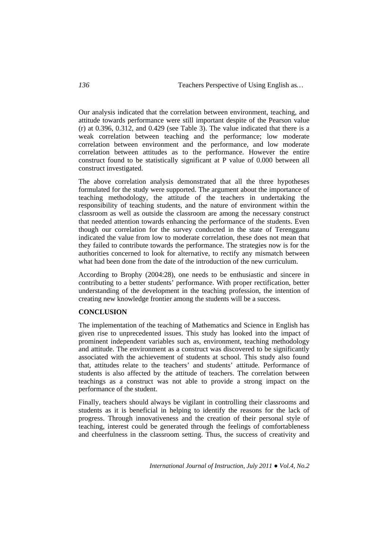Our analysis indicated that the correlation between environment, teaching, and attitude towards performance were still important despite of the Pearson value (r) at  $0.396$ ,  $0.312$ , and  $0.429$  (see Table 3). The value indicated that there is a weak correlation between teaching and the performance; low moderate correlation between environment and the performance, and low moderate correlation between attitudes as to the performance. However the entire construct found to be statistically significant at P value of 0.000 between all construct investigated.

The above correlation analysis demonstrated that all the three hypotheses formulated for the study were supported. The argument about the importance of teaching methodology, the attitude of the teachers in undertaking the responsibility of teaching students, and the nature of environment within the classroom as well as outside the classroom are among the necessary construct that needed attention towards enhancing the performance of the students. Even though our correlation for the survey conducted in the state of Terengganu indicated the value from low to moderate correlation, these does not mean that they failed to contribute towards the performance. The strategies now is for the authorities concerned to look for alternative, to rectify any mismatch between what had been done from the date of the introduction of the new curriculum.

According to Brophy (2004:28), one needs to be enthusiastic and sincere in contributing to a better students' performance. With proper rectification, better understanding of the development in the teaching profession, the intention of creating new knowledge frontier among the students will be a success.

## **CONCLUSION**

The implementation of the teaching of Mathematics and Science in English has given rise to unprecedented issues. This study has looked into the impact of prominent independent variables such as, environment, teaching methodology and attitude. The environment as a construct was discovered to be significantly associated with the achievement of students at school. This study also found that, attitudes relate to the teachers' and students' attitude. Performance of students is also affected by the attitude of teachers. The correlation between teachings as a construct was not able to provide a strong impact on the performance of the student.

Finally, teachers should always be vigilant in controlling their classrooms and students as it is beneficial in helping to identify the reasons for the lack of progress. Through innovativeness and the creation of their personal style of teaching, interest could be generated through the feelings of comfortableness and cheerfulness in the classroom setting. Thus, the success of creativity and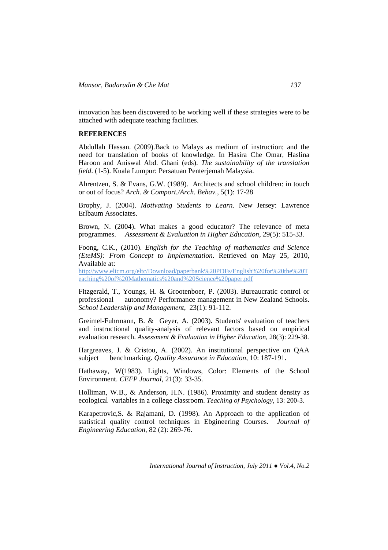innovation has been discovered to be working well if these strategies were to be attached with adequate teaching facilities.

### **REFERENCES**

Abdullah Hassan. (2009).Back to Malays as medium of instruction; and the need for translation of books of knowledge. In Hasira Che Omar, Haslina Haroon and Aniswal Abd. Ghani (eds). *The sustainability of the translation field*. (1-5). Kuala Lumpur: Persatuan Penterjemah Malaysia.

Ahrentzen, S. & Evans, G.W. (1989). Architects and school children: in touch or out of focus? *Arch. & Comport./Arch. Behav.*, 5(1): 17-28

Brophy, J. (2004). *Motivating Students to Learn*. New Jersey: Lawrence Erlbaum Associates.

Brown, N. (2004). What makes a good educator? The relevance of meta programmes. *Assessment & Evaluation in Higher Education*, 29(5): 515-33.

Foong, C.K., (2010). *English for the Teaching of mathematics and Science (EteMS): From Concept to Implementation*. Retrieved on May 25, 2010, Available at:

http://www.eltcm.org/eltc/Download/paperbank%20PDFs/English%20for%20the%20T eaching%20of%20Mathematics%20and%20Science%20paper.pdf

Fitzgerald, T., Youngs, H. & Grootenboer, P. (2003). Bureaucratic control or professional autonomy? Performance management in New Zealand Schools. *School Leadership and Management*, 23(1): 91-112.

Greimel-Fuhrmann, B. & Geyer, A. (2003). Students' evaluation of teachers and instructional quality-analysis of relevant factors based on empirical evaluation research. *Assessment & Evaluation in Higher Education*, 28(3): 229-38.

Hargreaves, J. & Cristou, A. (2002). An institutional perspective on QAA subject benchmarking. *Quality Assurance in Education*, 10: 187-191.

Hathaway, W(1983). Lights, Windows, Color: Elements of the School Environment. *CEFP Journal*, 21(3): 33-35.

Holliman, W.B., & Anderson, H.N. (1986). Proximity and student density as ecological variables in a college classroom. *Teaching of Psychology*, 13: 200-3.

Karapetrovic,S. & Rajamani, D. (1998). An Approach to the application of statistical quality control techniques in Ebgineering Courses. *Journal of Engineering Education*, 82 (2): 269-76.